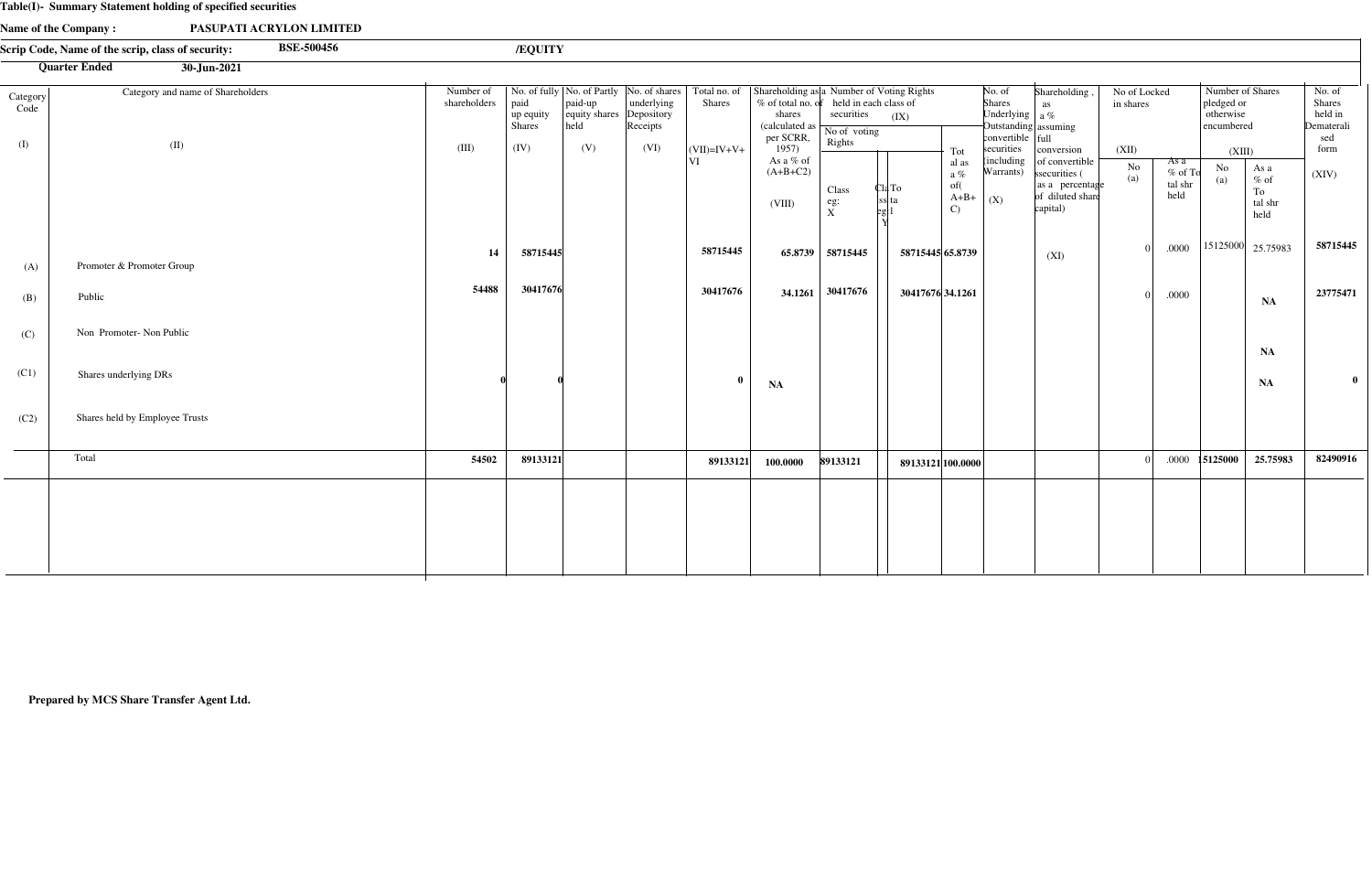#### **Table(I)- Summary Statement holding of specified securities**

Non Promoter- Non Public

Shares underlying DRs

Shares held by Employee Trusts

(C)

(C1)

(C2)

|                  | PASUPATI ACRYLON LIMITED<br>Name of the Company:                       |                           |                                    |                                                                      |                                                       |                               |                                                                                                         |                                                     |                                                                   |                                                                                                                                                          |                           |                                      |                                                                |                                                         |
|------------------|------------------------------------------------------------------------|---------------------------|------------------------------------|----------------------------------------------------------------------|-------------------------------------------------------|-------------------------------|---------------------------------------------------------------------------------------------------------|-----------------------------------------------------|-------------------------------------------------------------------|----------------------------------------------------------------------------------------------------------------------------------------------------------|---------------------------|--------------------------------------|----------------------------------------------------------------|---------------------------------------------------------|
|                  | <b>BSE-500456</b><br>Scrip Code, Name of the scrip, class of security: |                           | /EQUITY                            |                                                                      |                                                       |                               |                                                                                                         |                                                     |                                                                   |                                                                                                                                                          |                           |                                      |                                                                |                                                         |
|                  | <b>Quarter Ended</b><br>30-Jun-2021                                    |                           |                                    |                                                                      |                                                       |                               |                                                                                                         |                                                     |                                                                   |                                                                                                                                                          |                           |                                      |                                                                |                                                         |
| Category<br>Code | Category and name of Shareholders                                      | Number of<br>shareholders | paid<br>up equity<br><b>Shares</b> | No. of fully   No. of Partly<br>$ $ paid-up<br>equity shares<br>held | No. of shares<br>underlying<br>Depository<br>Receipts | Total no. of<br><b>Shares</b> | Shareholding as a Number of Voting Rights<br>% of total no. of<br>shares<br>(calculated as<br>per SCRR, | held in each class of<br>securities<br>No of voting | (IX)                                                              | No. of<br>Shareholding,<br><b>Shares</b><br>as<br>Underlying $ a\% $<br>Outstanding assuming<br>$\text{convertible}$ $\vert \text{full} \vert$           | No of Locked<br>in shares |                                      | Number of Shares<br>pledged or<br>otherwise<br>encumbered      | No. of<br><b>Shares</b><br>held in<br>Dematerali<br>sed |
| (I)              | (II)                                                                   | (III)                     | (IV)                               | (V)                                                                  | (VI)                                                  | $(VII)=IV+V+$<br>VI           | 1957<br>As a $%$ of<br>$(A+B+C2)$<br>(VIII)                                                             | Rights<br>Class<br>$\frac{eg}{v}$                   | Tot<br>al as<br>$a\%$<br>of(<br>Cla To<br>Issi ta<br>$\mathbf{C}$ | securities<br>conversion<br>including<br>of convertible<br>Warrants)<br>ssecurities (<br>as a percentage<br>of diluted share<br>$A+B+$ $(X)$<br>capital) | (XII)<br>No<br>(a)        | As a<br>$%$ of To<br>tal shr<br>held | (XIII)<br>No<br>As a<br>$%$ of<br>(a)<br>To<br>tal shr<br>held | form<br>(XIV)                                           |
| (A)              | Promoter & Promoter Group                                              | 14                        | 58715445                           |                                                                      |                                                       | 58715445                      | 65.8739                                                                                                 | 58715445                                            | 58715445 65.8739                                                  | (XI)                                                                                                                                                     |                           | .0000                                | $ 15125000 $ 25.75983                                          | 58715445                                                |
| (B)              | Public                                                                 | 54488                     | 30417676                           |                                                                      |                                                       | 30417676                      | 34.1261                                                                                                 | 30417676                                            | 30417676 34.1261                                                  |                                                                                                                                                          |                           | .0000                                | <b>NA</b>                                                      | 23775471                                                |

Total **<sup>54502</sup> 89133121 100.0000 <sup>89133121</sup> <sup>82490916</sup>**

**89133121**

**0 0**

**NA NA**

**0 0**

**89133121 100.0000**

**NA**

0 .0000 **15125000 25.75983** 

**Prepared by MCS Share Transfer Agent Ltd.**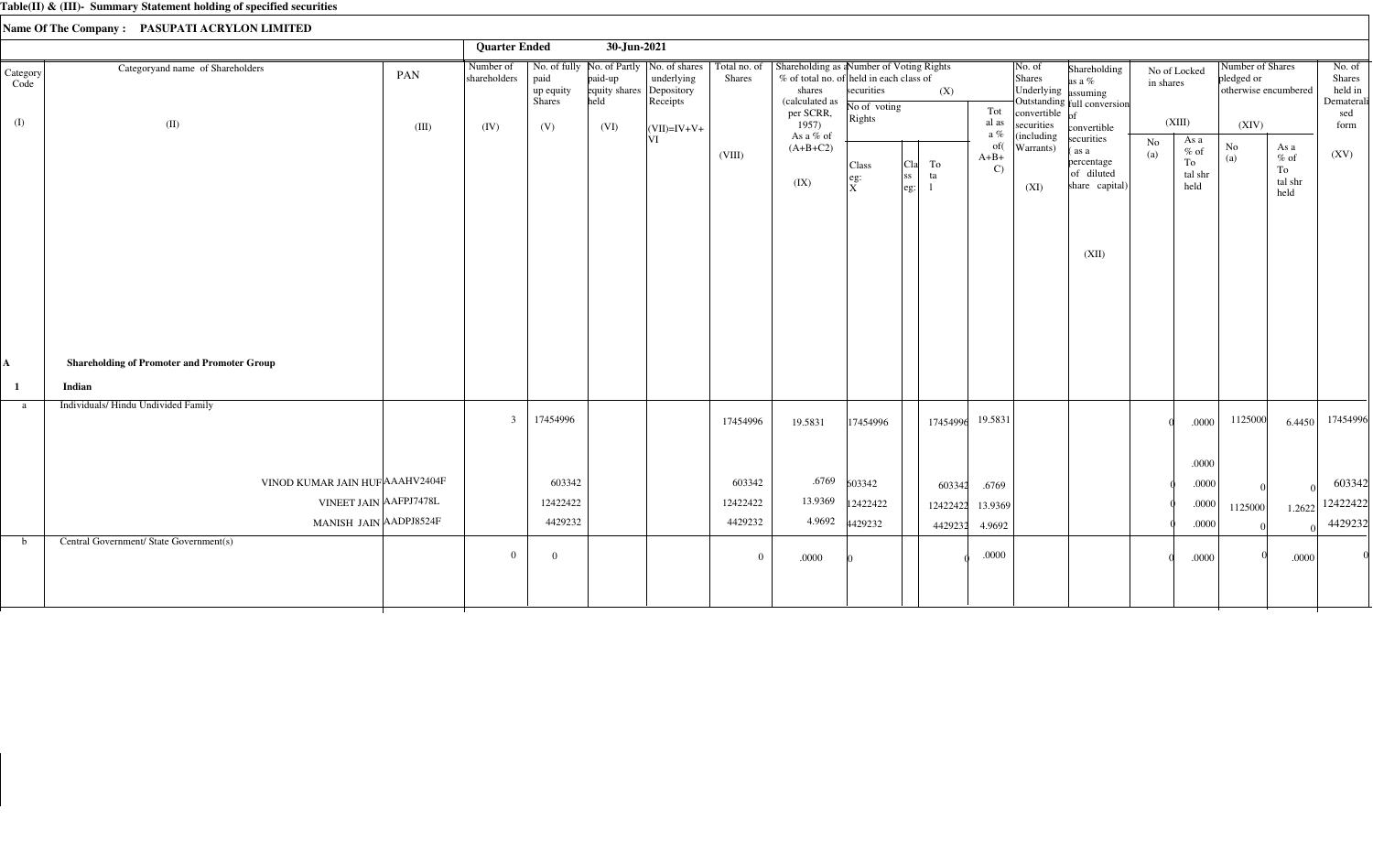|                  |                                                    |       | <b>Quarter Ended</b>      |                                                                           | 30-Jun-2021                                 |                        |                               |                                                                                                                                |                                      |                                                                      |          |                                                  |                                                             |                                                                                           |                           |                                                   |                                |                                          |                                                  |
|------------------|----------------------------------------------------|-------|---------------------------|---------------------------------------------------------------------------|---------------------------------------------|------------------------|-------------------------------|--------------------------------------------------------------------------------------------------------------------------------|--------------------------------------|----------------------------------------------------------------------|----------|--------------------------------------------------|-------------------------------------------------------------|-------------------------------------------------------------------------------------------|---------------------------|---------------------------------------------------|--------------------------------|------------------------------------------|--------------------------------------------------|
| Category<br>Code | Categoryand name of Shareholders                   | PAN   | Number of<br>shareholders | No. of fully No. of Partly   No. of shares<br>paid<br>up equity<br>Shares | paid-up<br>equity shares Depository<br>held | underlying<br>Receipts | Total no. of<br><b>Shares</b> | Shareholding as aNumber of Voting Rights<br>$%$ of total no. of held in each class of<br>shares<br>(calculated as<br>per SCRR, | securities<br>No of voting<br>Rights |                                                                      | (X)      | Tot                                              | No. of<br>Shares<br>Underlying assuming<br>convertible $of$ | Shareholding<br>as a %<br>Outstanding full conversion                                     | No of Locked<br>in shares |                                                   | Number of Shares<br>pledged or | otherwise encumbered                     | No. of<br>Shares<br>held in<br>Dematerali<br>sed |
| (I)              | (II)                                               | (III) | (IV)                      | (V)                                                                       | (VI)                                        | $ (VII)=IV+V+$<br> VI  | (VIII)                        | 1957)<br>As a % of<br>$(A+B+C2)$<br>(IX)                                                                                       | Class<br>leg:<br>ΙX.                 | To<br>  <sub>C1a</sub>  <br> ss <br>ta<br>$\left  \text{eg} \right $ |          | al as<br>a $\%$<br>of(<br>$A+B+$<br>$\mathbf{C}$ | securities<br>(including<br>Warrants)<br>(XI)               | convertible<br>securities<br>(as a<br>percentage<br>of diluted<br>share capital)<br>(XII) | No<br>(a)                 | (XIII)<br>As a<br>$%$ of<br>To<br>tal shr<br>held | (XIV)<br>$\rm No$<br>(a)       | As a<br>$\%$ of<br>To<br>tal shr<br>held | form<br>(XV)                                     |
| $\mathbf A$      | <b>Shareholding of Promoter and Promoter Group</b> |       |                           |                                                                           |                                             |                        |                               |                                                                                                                                |                                      |                                                                      |          |                                                  |                                                             |                                                                                           |                           |                                                   |                                |                                          |                                                  |
| $\mathbf{1}$     | Indian                                             |       |                           |                                                                           |                                             |                        |                               |                                                                                                                                |                                      |                                                                      |          |                                                  |                                                             |                                                                                           |                           |                                                   |                                |                                          |                                                  |
| a                | Individuals/ Hindu Undivided Family                |       | 3                         | 17454996                                                                  |                                             |                        | 17454996                      | 19.5831                                                                                                                        | 17454996                             |                                                                      | 17454996 | 19.5831                                          |                                                             |                                                                                           |                           | .0000<br>.0000                                    | 1125000                        | 6.4450                                   | 17454996                                         |
|                  | VINOD KUMAR JAIN HUF AAAHV2404F                    |       |                           | 603342                                                                    |                                             |                        | 603342                        | .6769                                                                                                                          | 603342                               |                                                                      | 603342   | .6769                                            |                                                             |                                                                                           |                           | $.0000$                                           |                                |                                          | 603342                                           |
|                  | VINEET JAIN AAFPJ7478L                             |       |                           | 12422422                                                                  |                                             |                        | 12422422                      | 13.9369                                                                                                                        | 12422422                             |                                                                      | 12422422 | 13.9369                                          |                                                             |                                                                                           |                           | .0000                                             | 1125000                        | 1.2622                                   | 12422422                                         |
|                  | MANISH JAIN AADPJ8524F                             |       |                           | 4429232                                                                   |                                             |                        | 4429232                       | 4.9692                                                                                                                         | 4429232                              |                                                                      | 4429232  | 4.9692                                           |                                                             |                                                                                           |                           | .0000                                             |                                |                                          | 4429232                                          |
| $\mathbf b$      | Central Government/ State Government(s)            |       | $\Omega$                  | $\Omega$                                                                  |                                             |                        | $\theta$                      | .0000                                                                                                                          |                                      |                                                                      |          | .0000                                            |                                                             |                                                                                           |                           | .0000                                             |                                | .0000                                    |                                                  |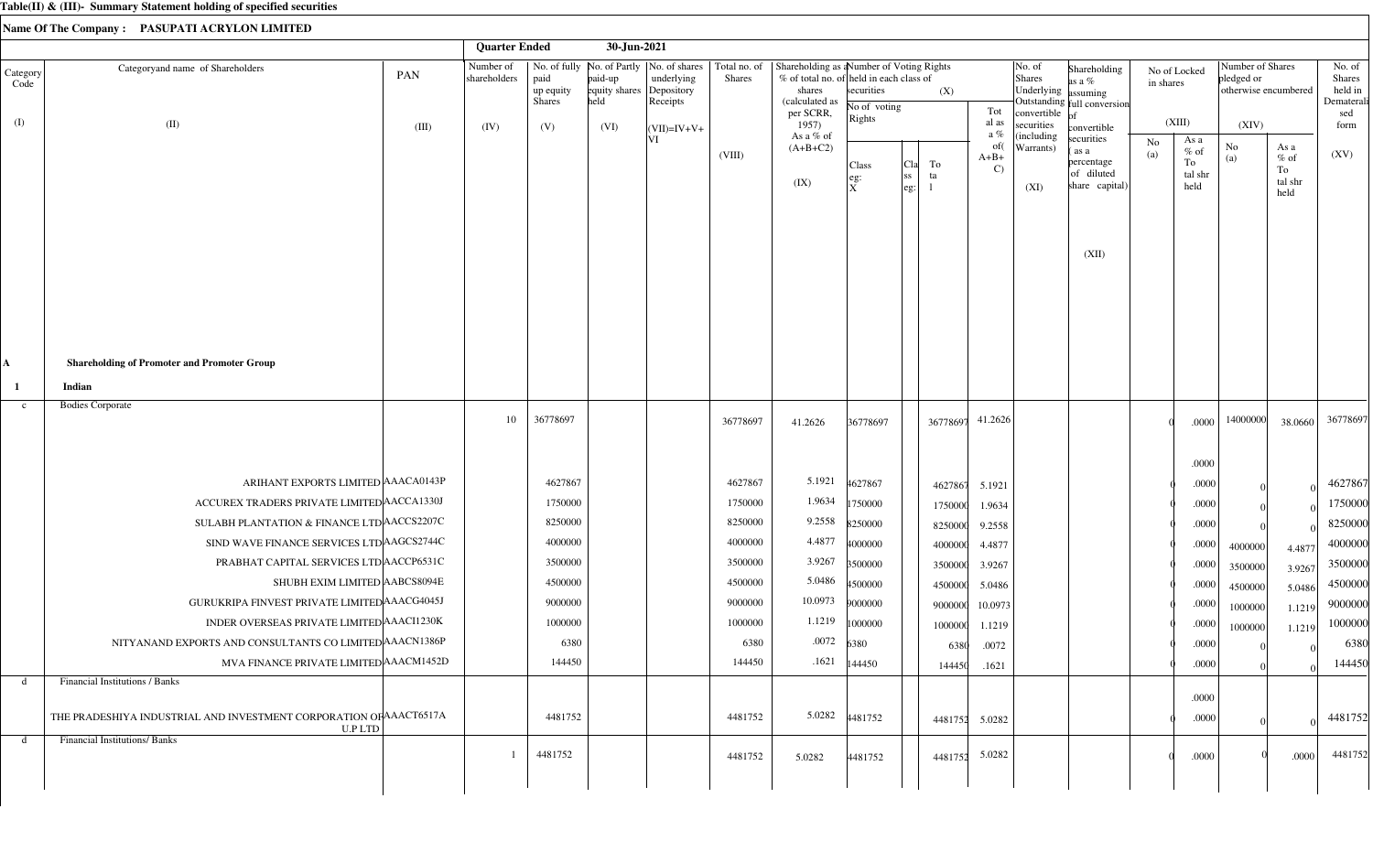|                  |                                                                               | <b>Quarter Ended</b>      |                                    | 30-Jun-2021                                 |                                                                        |                               |                                                                                                                               |                            |                                |                               |                                                                 |                                                                  |                           |                                         |                                                        |                                         |                                                  |
|------------------|-------------------------------------------------------------------------------|---------------------------|------------------------------------|---------------------------------------------|------------------------------------------------------------------------|-------------------------------|-------------------------------------------------------------------------------------------------------------------------------|----------------------------|--------------------------------|-------------------------------|-----------------------------------------------------------------|------------------------------------------------------------------|---------------------------|-----------------------------------------|--------------------------------------------------------|-----------------------------------------|--------------------------------------------------|
| Category<br>Code | Categoryand name of Shareholders<br>PAN                                       | Number of<br>shareholders | paid<br>up equity<br><b>Shares</b> | paid-up<br>equity shares Depository<br>held | No. of fully   No. of Partly   No. of shares<br>underlying<br>Receipts | Total no. of<br><b>Shares</b> | Shareholding as a Number of Voting Rights<br>% of total no. of held in each class of<br>shares<br>(calculated as<br>per SCRR, | securities<br>No of voting | (X)                            | Tot                           | No. of<br>Shares<br>Underlying assuming<br>convertible $\sigma$ | Shareholding<br>as a $%$<br>Outstanding full conversion          | No of Locked<br>in shares |                                         | Number of Shares<br>pledged or<br>otherwise encumbered |                                         | No. of<br>Shares<br>held in<br>Dematerali<br>sed |
| (I)              | (II)<br>(III)                                                                 | (IV)                      | (V)                                | (VI)                                        | $\vert$ (VII)=IV+V+                                                    |                               | 1957)                                                                                                                         | Rights                     |                                | al as<br>a %                  | securities                                                      | convertible                                                      | (XIII)                    |                                         | (XIV)                                                  |                                         | form                                             |
|                  |                                                                               |                           |                                    |                                             | ΙVΙ                                                                    | (VIII)                        | As a % of<br>$(A+B+C2)$<br>(IX)                                                                                               | Class<br>eg:<br>X          | To<br> Cla<br> ss<br>ta<br>eg: | of(<br>$A+B+$<br>$\mathbf{C}$ | (including<br>Warrants)<br>(XI)                                 | securities<br>as a<br>percentage<br>of diluted<br>share capital) | No<br>(a)                 | As a<br>$%$ of<br>To<br>tal shr<br>held | No<br>(a)                                              | As a<br>$%$ of<br>To<br>tal shr<br>held | (XV)                                             |
|                  |                                                                               |                           |                                    |                                             |                                                                        |                               |                                                                                                                               |                            |                                |                               |                                                                 | (XII)                                                            |                           |                                         |                                                        |                                         |                                                  |
| Ą.               | <b>Shareholding of Promoter and Promoter Group</b>                            |                           |                                    |                                             |                                                                        |                               |                                                                                                                               |                            |                                |                               |                                                                 |                                                                  |                           |                                         |                                                        |                                         |                                                  |
| -1               | Indian                                                                        |                           |                                    |                                             |                                                                        |                               |                                                                                                                               |                            |                                |                               |                                                                 |                                                                  |                           |                                         |                                                        |                                         |                                                  |
| $\mathbf{c}$     | <b>Bodies Corporate</b>                                                       | 10                        | 36778697                           |                                             |                                                                        | 36778697                      | 41.2626                                                                                                                       | 36778697                   | 36778697                       | 41.2626                       |                                                                 |                                                                  |                           | .0000                                   | 14000000                                               | 38.0660                                 | 36778697                                         |
|                  |                                                                               |                           |                                    |                                             |                                                                        |                               |                                                                                                                               |                            |                                |                               |                                                                 |                                                                  |                           | .0000                                   |                                                        |                                         |                                                  |
|                  | ARIHANT EXPORTS LIMITED AAACA0143P                                            |                           | 4627867                            |                                             |                                                                        | 4627867                       | 5.1921                                                                                                                        | 4627867                    | 4627867                        | 5.1921                        |                                                                 |                                                                  |                           | .0000                                   |                                                        |                                         | 4627867                                          |
|                  | ACCUREX TRADERS PRIVATE LIMITED ACCA1330J                                     |                           | 1750000                            |                                             |                                                                        | 1750000                       | 1.9634                                                                                                                        | 1750000                    | 1750000                        | 1.9634                        |                                                                 |                                                                  |                           | .0000                                   |                                                        |                                         | 1750000                                          |
|                  | SULABH PLANTATION & FINANCE LTD ACCS2207C                                     |                           | 8250000                            |                                             |                                                                        | 8250000                       | 9.2558                                                                                                                        | 8250000                    | 8250000                        | 9.2558                        |                                                                 |                                                                  |                           | .0000                                   |                                                        |                                         | 8250000                                          |
|                  | SIND WAVE FINANCE SERVICES LTD AGCS2744C                                      |                           | 4000000                            |                                             |                                                                        | 4000000                       | 4.4877                                                                                                                        | 4000000                    | 4000000                        | 4.4877                        |                                                                 |                                                                  |                           | .0000                                   | 4000000                                                | 4.4877                                  | 4000000                                          |
|                  | PRABHAT CAPITAL SERVICES LTD ACCP6531C                                        |                           | 3500000                            |                                             |                                                                        | 3500000                       | 3.9267                                                                                                                        | 3500000                    | 3500000                        | 3.9267                        |                                                                 |                                                                  |                           | .0000                                   | 3500000                                                | 3.9267                                  | 3500000                                          |
|                  | SHUBH EXIM LIMITED AABCS8094E                                                 |                           | 4500000                            |                                             |                                                                        | 4500000                       | 5.0486                                                                                                                        | 4500000                    | 4500000                        | 5.0486                        |                                                                 |                                                                  |                           | .0000                                   | 4500000                                                | 5.0486                                  | 4500000                                          |
|                  | GURUKRIPA FINVEST PRIVATE LIMITED AAACG4045J                                  |                           | 9000000                            |                                             |                                                                        | 9000000                       | 10.0973                                                                                                                       | 9000000                    | 9000000                        | 10.0973                       |                                                                 |                                                                  |                           | .0000                                   | 1000000                                                | 1.1219                                  | 9000000                                          |
|                  | INDER OVERSEAS PRIVATE LIMITED AAACI1230K                                     |                           | 1000000                            |                                             |                                                                        | 1000000                       |                                                                                                                               | $1.1219$ 1000000           | 1000000                        | 1.1219                        |                                                                 |                                                                  |                           | .0000                                   | 1000000                                                | 1.1219                                  | 1000000                                          |
|                  | NITYANAND EXPORTS AND CONSULTANTS CO LIMITED AAACN1386P                       |                           | 6380                               |                                             |                                                                        | 6380                          | .0072                                                                                                                         | 6380                       | 6380                           | .0072                         |                                                                 |                                                                  |                           | .0000                                   |                                                        |                                         | 6380                                             |
|                  | MVA FINANCE PRIVATE LIMITED AAACM1452D                                        |                           | 144450                             |                                             |                                                                        | 144450                        |                                                                                                                               | $.1621$  144450            | 144450                         | .1621                         |                                                                 |                                                                  |                           | .0000                                   |                                                        |                                         | 144450                                           |
| d                | Financial Institutions / Banks                                                |                           |                                    |                                             |                                                                        |                               |                                                                                                                               |                            |                                |                               |                                                                 |                                                                  |                           |                                         |                                                        |                                         |                                                  |
|                  | THE PRADESHIYA INDUSTRIAL AND INVESTMENT CORPORATION OF AAACT6517A<br>U.P LTD |                           | 4481752                            |                                             |                                                                        | 4481752                       |                                                                                                                               | 5.0282 4481752             |                                | 4481752 5.0282                |                                                                 |                                                                  |                           | .0000<br>.0000                          |                                                        |                                         | 4481752                                          |
| d                | <b>Financial Institutions/ Banks</b>                                          |                           | 4481752                            |                                             |                                                                        | 4481752                       | 5.0282                                                                                                                        | 4481752                    | 4481752                        | 5.0282                        |                                                                 |                                                                  |                           | .0000                                   |                                                        | .0000                                   | 4481752                                          |
|                  |                                                                               |                           |                                    |                                             |                                                                        |                               |                                                                                                                               |                            |                                |                               |                                                                 |                                                                  |                           |                                         |                                                        |                                         |                                                  |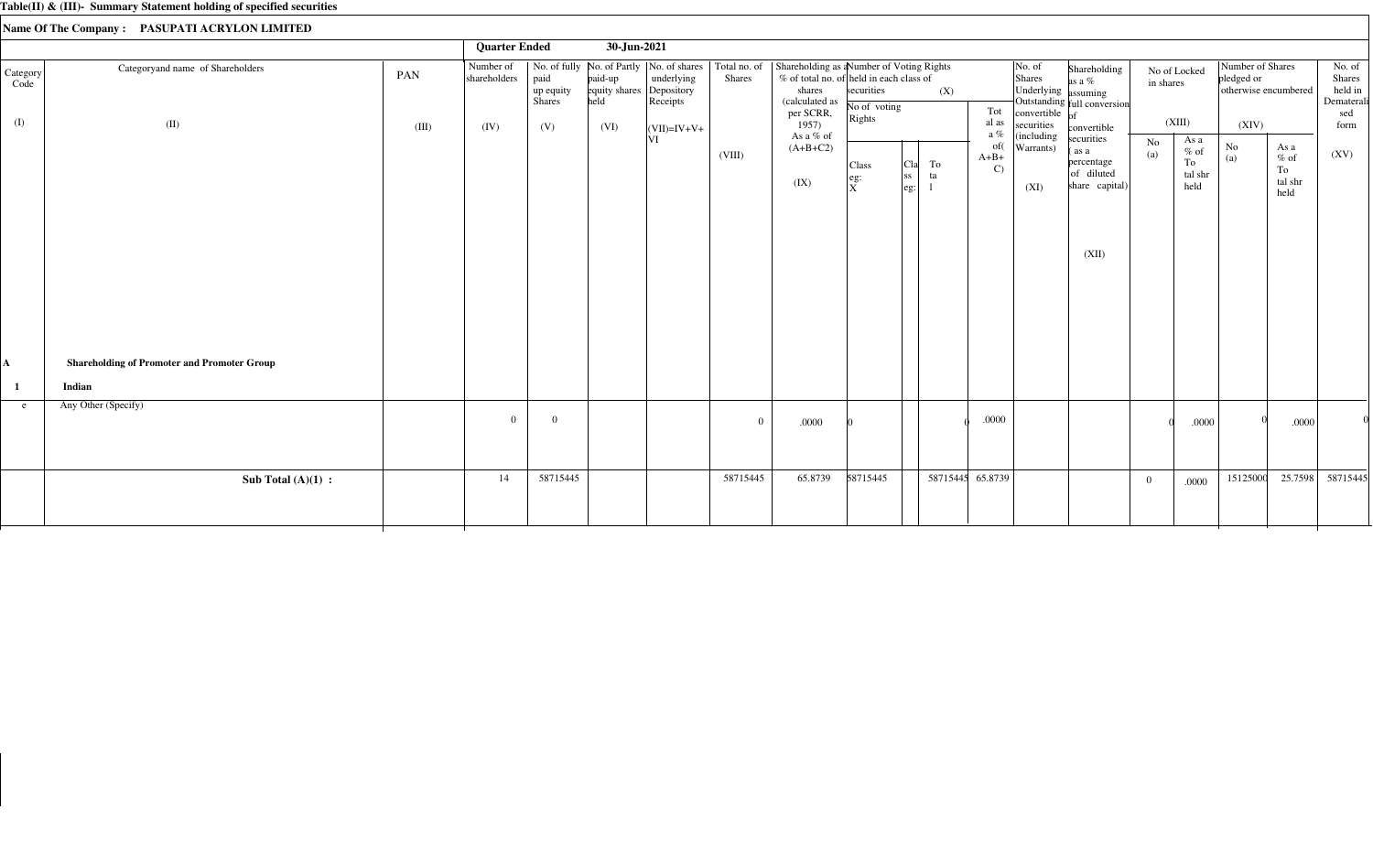|                         |                                                    |              | <b>Quarter Ended</b>              |                                    | 30-Jun-2021                              |                                                       |          |                                                                                                                                                                                                      |                                                                                |                                |                                         |                                                                                                     |                                                                            |           |                                         |                                                                 |                                          |                                                          |
|-------------------------|----------------------------------------------------|--------------|-----------------------------------|------------------------------------|------------------------------------------|-------------------------------------------------------|----------|------------------------------------------------------------------------------------------------------------------------------------------------------------------------------------------------------|--------------------------------------------------------------------------------|--------------------------------|-----------------------------------------|-----------------------------------------------------------------------------------------------------|----------------------------------------------------------------------------|-----------|-----------------------------------------|-----------------------------------------------------------------|------------------------------------------|----------------------------------------------------------|
| Category<br>Code<br>(I) | Categoryand name of Shareholders<br>(II)           | PAN<br>(III) | Number of<br>shareholders<br>(IV) | paid<br>up equity<br>Shares<br>(V) | paid-up<br>equity shares<br>held<br>(VI) | underlying<br>Depository<br>Receipts<br>$(VII)=IV+V+$ | Shares   | No. of fully   No. of Partly   No. of shares   Total no. of   Shareholding as a Number of Voting Rights<br>% of total no. of held in each class of<br>shares<br>(calculated as<br>per SCRR,<br>1957) | securities<br>No of voting<br>Rights                                           | (X)                            | Tot<br>al as                            | $\vert$ No. of<br>Shares<br>Underlying assuming<br>convertible $\overline{\text{of}}$<br>securities | Shareholding<br>as a %<br>Outstanding full conversion<br>convertible       | in shares | No of Locked<br>(XIII)                  | Number of Shares<br>pledged or<br>otherwise encumbered<br>(XIV) |                                          | No. of<br>Shares<br>held in<br>Dematerali<br>sed<br>form |
|                         |                                                    |              |                                   |                                    |                                          | ΙVΙ                                                   | (VIII)   | As a % of<br>$(A+B+C2)$<br>(IX)                                                                                                                                                                      | Class<br>$\left  \begin{smallmatrix} \text{eg:} \ X \end{smallmatrix} \right $ | To<br>Cla<br> ss <br>ta<br>eg: | a $\%$<br>of(<br>$A+B+$<br>$\mathbf{C}$ | (including<br>Warrants)<br>(XI)                                                                     | securities<br>(as a<br>percentage<br>of diluted<br>share capital)<br>(XII) | No<br>(a) | As a<br>$%$ of<br>To<br>tal shr<br>held | $\rm No$<br>(a)                                                 | As a<br>$\%$ of<br>To<br>tal shr<br>held | (XV)                                                     |
| A                       | <b>Shareholding of Promoter and Promoter Group</b> |              |                                   |                                    |                                          |                                                       |          |                                                                                                                                                                                                      |                                                                                |                                |                                         |                                                                                                     |                                                                            |           |                                         |                                                                 |                                          |                                                          |
|                         | Indian                                             |              |                                   |                                    |                                          |                                                       |          |                                                                                                                                                                                                      |                                                                                |                                |                                         |                                                                                                     |                                                                            |           |                                         |                                                                 |                                          |                                                          |
| e                       | Any Other (Specify)                                |              | $\Omega$                          | $\theta$                           |                                          |                                                       | $\Omega$ | .0000                                                                                                                                                                                                |                                                                                |                                | $.0000$                                 |                                                                                                     |                                                                            |           | .0000                                   |                                                                 | .0000                                    |                                                          |
|                         | Sub Total $(A)(1)$ :                               |              | 14                                | 58715445                           |                                          |                                                       | 58715445 | 65.8739                                                                                                                                                                                              | 58715445                                                                       |                                | 58715445 65.8739                        |                                                                                                     |                                                                            | $\Omega$  | .0000                                   | 15125000                                                        | 25.7598                                  | 58715445                                                 |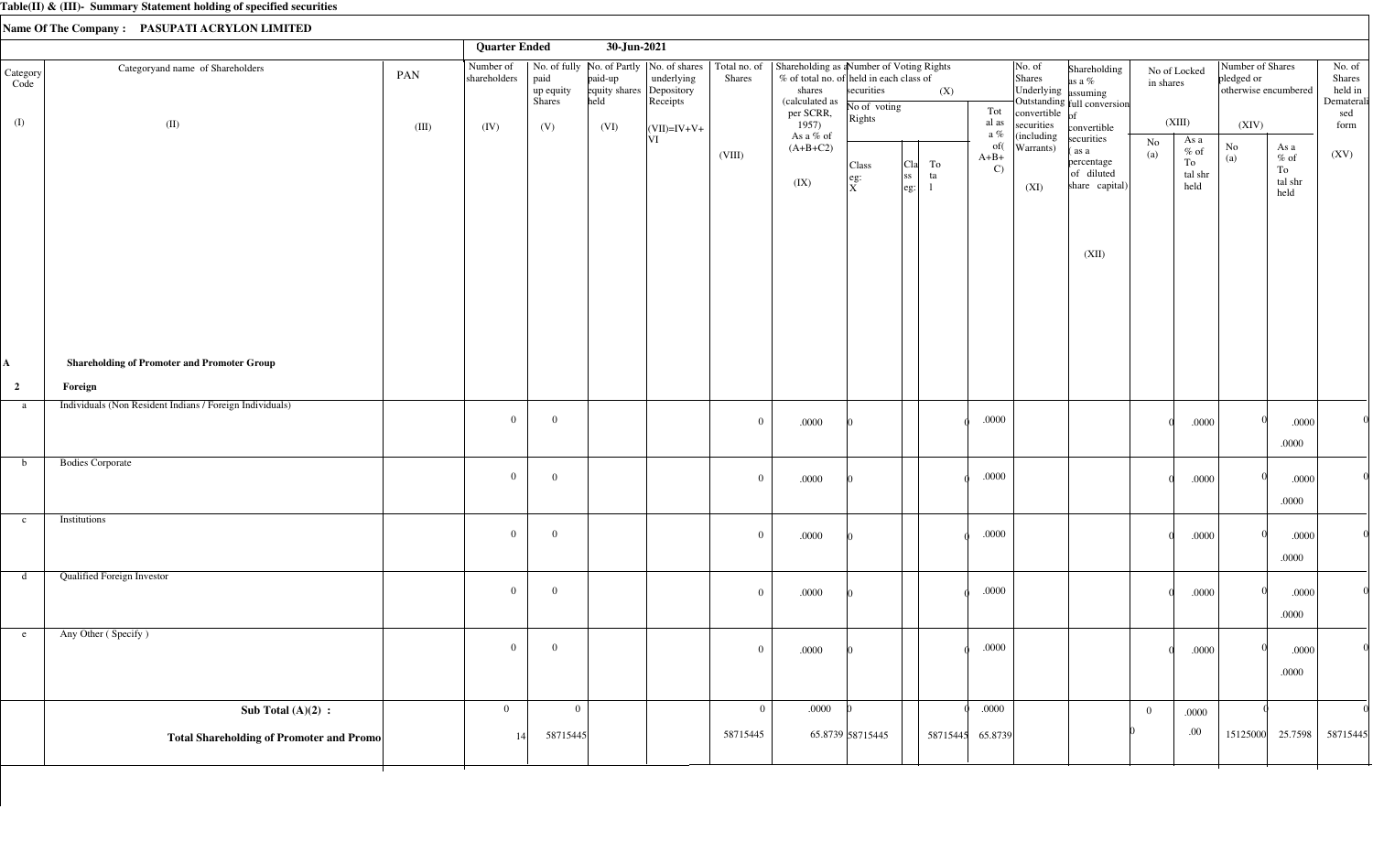|                         |                                                          |       | <b>Quarter Ended</b>      |                                    | 30-Jun-2021                                 |                                                                        |                               |                                                                                                                               |                                               |                                                                  |                               |                                                                                   |                                                                                     |                           |                                          |                                                        |                                                                        |                                                  |
|-------------------------|----------------------------------------------------------|-------|---------------------------|------------------------------------|---------------------------------------------|------------------------------------------------------------------------|-------------------------------|-------------------------------------------------------------------------------------------------------------------------------|-----------------------------------------------|------------------------------------------------------------------|-------------------------------|-----------------------------------------------------------------------------------|-------------------------------------------------------------------------------------|---------------------------|------------------------------------------|--------------------------------------------------------|------------------------------------------------------------------------|--------------------------------------------------|
| Category<br>Code        | Categoryand name of Shareholders                         | PAN   | Number of<br>shareholders | paid<br>up equity<br><b>Shares</b> | paid-up<br>equity shares Depository<br>held | No. of fully   No. of Partly   No. of shares<br>underlying<br>Receipts | Total no. of<br><b>Shares</b> | Shareholding as a Number of Voting Rights<br>% of total no. of held in each class of<br>shares<br>(calculated as<br>per SCRR, | securities<br>No of voting<br>Rights          | (X)                                                              | Tot                           | $\vert$ No. of<br>Shares<br>Underlying assuming<br>convertible $\int_{\text{of}}$ | Shareholding<br>as a %<br>Outstanding full conversion                               | No of Locked<br>in shares |                                          | Number of Shares<br>pledged or<br>otherwise encumbered |                                                                        | No. of<br>Shares<br>held in<br>Dematerali<br>sed |
| (I)                     | (II)                                                     | (III) | (IV)                      | (V)                                | (VI)                                        | $ (VII)=IV+V+$                                                         |                               | 1957)<br>As a % of                                                                                                            |                                               |                                                                  | al as<br>a $\%$               | securities<br>(including                                                          | convertible                                                                         |                           | (XIII)                                   | (XIV)                                                  |                                                                        | form                                             |
|                         |                                                          |       |                           |                                    |                                             | VI                                                                     | (VIII)                        | $(A+B+C2)$<br>(IX)                                                                                                            | Class<br>$\left  \right.$ eg:<br>$\mathbf{x}$ | To<br> C1a<br><sub>ss</sub><br>ta<br>$\left  \text{eg:} \right $ | of(<br>$A+B+$<br>$\mathbf{C}$ | Warrants)<br>(XI)                                                                 | securities<br>(as a<br>percentage<br>of diluted<br>share $\text{capital)}$<br>(XII) | No<br>(a)                 | As a<br>$\%$ of<br>To<br>tal shr<br>held | $\rm No$<br>(a)                                        | As a<br>$%$ of<br>To<br>$\ensuremath{\mathsf{tal}}\xspace$ shr<br>held | (XV)                                             |
| A,                      | <b>Shareholding of Promoter and Promoter Group</b>       |       |                           |                                    |                                             |                                                                        |                               |                                                                                                                               |                                               |                                                                  |                               |                                                                                   |                                                                                     |                           |                                          |                                                        |                                                                        |                                                  |
| $\overline{\mathbf{c}}$ | Foreign                                                  |       |                           |                                    |                                             |                                                                        |                               |                                                                                                                               |                                               |                                                                  |                               |                                                                                   |                                                                                     |                           |                                          |                                                        |                                                                        |                                                  |
| a                       | Individuals (Non Resident Indians / Foreign Individuals) |       | $\overline{0}$            | $\overline{0}$                     |                                             |                                                                        | $\overline{0}$                | $.0000$                                                                                                                       |                                               |                                                                  | .0000                         |                                                                                   |                                                                                     |                           | .0000                                    |                                                        | .0000<br>.0000                                                         |                                                  |
| b                       | <b>Bodies Corporate</b>                                  |       | $\overline{0}$            | $\overline{0}$                     |                                             |                                                                        | $\bf{0}$                      | $.0000$                                                                                                                       |                                               |                                                                  | $.0000$                       |                                                                                   |                                                                                     |                           | .0000                                    |                                                        | .0000<br>.0000                                                         |                                                  |
| $\mathbf{c}$            | Institutions                                             |       | $\overline{0}$            | $\overline{0}$                     |                                             |                                                                        | $\bf{0}$                      | $.0000$                                                                                                                       |                                               |                                                                  | $.0000\,$                     |                                                                                   |                                                                                     |                           | .0000                                    |                                                        | .0000<br>.0000                                                         |                                                  |
| d                       | <b>Qualified Foreign Investor</b>                        |       | $\overline{0}$            | $\bf{0}$                           |                                             |                                                                        | $\overline{0}$                | .0000                                                                                                                         |                                               |                                                                  | $.0000$                       |                                                                                   |                                                                                     |                           | .0000                                    |                                                        | .0000<br>.0000                                                         |                                                  |
| e                       | Any Other (Specify)                                      |       | $\overline{0}$            | $\overline{0}$                     |                                             |                                                                        | $\bf{0}$                      | $.0000\,$                                                                                                                     |                                               |                                                                  | $.0000$                       |                                                                                   |                                                                                     |                           | .0000                                    |                                                        | .0000<br>.0000                                                         |                                                  |
|                         | Sub Total $(A)(2)$ :                                     |       | $\overline{0}$            | $\mathbf{0}$                       |                                             |                                                                        | $\overline{0}$                | .0000                                                                                                                         |                                               |                                                                  | .0000                         |                                                                                   |                                                                                     | $\overline{0}$            | .0000                                    |                                                        |                                                                        |                                                  |
|                         | <b>Total Shareholding of Promoter and Promo</b>          |       | 14                        | 58715445                           |                                             |                                                                        | 58715445                      |                                                                                                                               | 65.8739 58715445                              |                                                                  | 58715445 65.8739              |                                                                                   |                                                                                     |                           | .00.                                     |                                                        | 15125000 25.7598                                                       | 58715445                                         |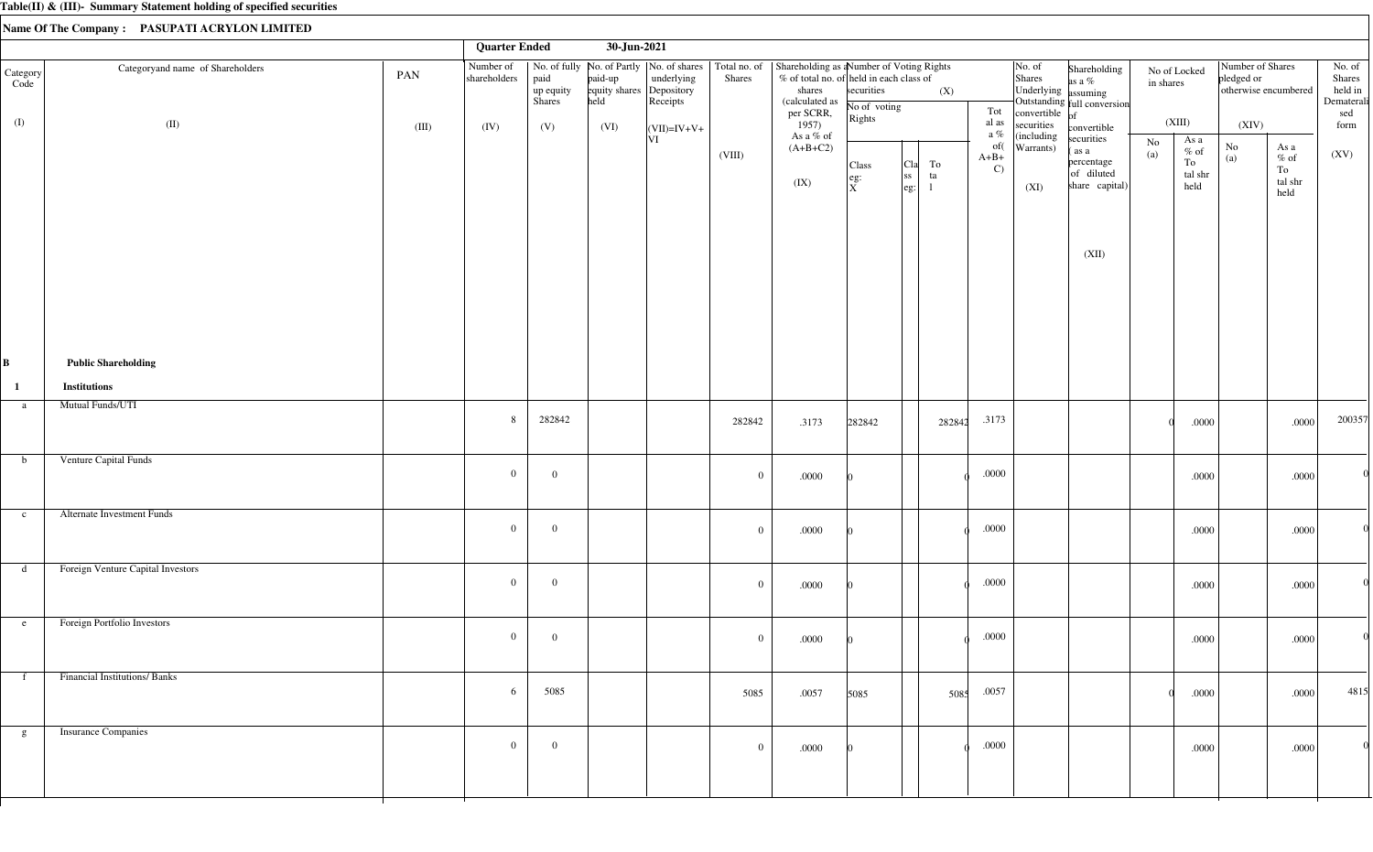|                  |                                     |       | <b>Quarter Ended</b>      |                             | 30-Jun-2021                                 |                        |              |                                                                                                                                                                                               |                                                                                |                                                                       |          |                                |                                                                                |                                                                   |                           |                                          |                                |                                                                       |                                                  |
|------------------|-------------------------------------|-------|---------------------------|-----------------------------|---------------------------------------------|------------------------|--------------|-----------------------------------------------------------------------------------------------------------------------------------------------------------------------------------------------|--------------------------------------------------------------------------------|-----------------------------------------------------------------------|----------|--------------------------------|--------------------------------------------------------------------------------|-------------------------------------------------------------------|---------------------------|------------------------------------------|--------------------------------|-----------------------------------------------------------------------|--------------------------------------------------|
| Category<br>Code | Categoryand name of Shareholders    | PAN   | Number of<br>shareholders | paid<br>up equity<br>Shares | paid-up<br>equity shares Depository<br>held | underlying<br>Receipts | Shares       | No. of fully   No. of Partly   No. of shares   Total no. of   Shareholding as a Number of Voting Rights<br>$%$ of total no. of held in each class of<br>shares<br>(calculated as<br>per SCRR, | securities<br>No of voting<br>Rights                                           |                                                                       | (X)      | Tot                            | $\vert$ No. of<br>Shares<br>Underlying assuming<br>convertible $\overline{of}$ | Shareholding<br>as a %<br>Outstanding full conversion             | No of Locked<br>in shares |                                          | Number of Shares<br>pledged or | otherwise encumbered                                                  | No. of<br>Shares<br>held in<br>Dematerali<br>sed |
| (I)              | (II)                                | (III) | (IV)                      | (V)                         | (VI)                                        | $\vert$ (VII)=IV+V+    |              | 1957)<br>As a % of                                                                                                                                                                            |                                                                                |                                                                       |          | al as<br>a $\%$                | securities<br>(including                                                       | convertible                                                       |                           | (XIII)                                   | (XIV)                          |                                                                       | form                                             |
|                  |                                     |       |                           |                             |                                             | V                      | (VIII)       | $(A+B+C2)$<br>(IX)                                                                                                                                                                            | Class<br>$\left  \begin{smallmatrix} \text{eg:} \ X \end{smallmatrix} \right $ | <sub>C1a</sub>  <br><sub>ss</sub><br>$\left  \text{eg} \cdot \right $ | To<br>ta | of(<br>$A+B+$<br>$\mathcal{C}$ | Warrants)<br>(XI)                                                              | securities<br>(as a<br>percentage<br>of diluted<br>share capital) | No<br>(a)                 | As a<br>$\%$ of<br>To<br>tal shr<br>held | $\rm No$<br>(a)                | As a<br>$\%$ of<br>To<br>$\ensuremath{\text{tal}}\xspace$ shr<br>held | (XV)                                             |
|                  |                                     |       |                           |                             |                                             |                        |              |                                                                                                                                                                                               |                                                                                |                                                                       |          |                                |                                                                                | (XII)                                                             |                           |                                          |                                |                                                                       |                                                  |
| B                | <b>Public Shareholding</b>          |       |                           |                             |                                             |                        |              |                                                                                                                                                                                               |                                                                                |                                                                       |          |                                |                                                                                |                                                                   |                           |                                          |                                |                                                                       |                                                  |
| $\mathbf{1}$     | <b>Institutions</b>                 |       |                           |                             |                                             |                        |              |                                                                                                                                                                                               |                                                                                |                                                                       |          |                                |                                                                                |                                                                   |                           |                                          |                                |                                                                       |                                                  |
| a                | Mutual Funds/UTI                    |       | 8                         | 282842                      |                                             |                        | 282842       | .3173                                                                                                                                                                                         | 282842                                                                         |                                                                       | 282842   | .3173                          |                                                                                |                                                                   |                           | .0000                                    |                                | .0000                                                                 | 200357                                           |
| $\mathbf b$      | Venture Capital Funds               |       | $\overline{0}$            | $\overline{0}$              |                                             |                        | $\mathbf{0}$ | .0000                                                                                                                                                                                         |                                                                                |                                                                       |          | $.0000$                        |                                                                                |                                                                   |                           | .0000                                    |                                | .0000                                                                 |                                                  |
| $\mathbf{c}$     | <b>Alternate Investment Funds</b>   |       | $\overline{0}$            | $\overline{0}$              |                                             |                        | $\mathbf{0}$ | .0000                                                                                                                                                                                         |                                                                                |                                                                       |          | $.0000$                        |                                                                                |                                                                   |                           | .0000                                    |                                | .0000                                                                 |                                                  |
| d                | Foreign Venture Capital Investors   |       | $\mathbf{0}$              | $\overline{0}$              |                                             |                        | $\mathbf{0}$ | $.0000\,$                                                                                                                                                                                     |                                                                                |                                                                       |          | $.0000$                        |                                                                                |                                                                   |                           | .0000                                    |                                | .0000                                                                 |                                                  |
| e                | Foreign Portfolio Investors         |       | $\overline{0}$            | $\overline{0}$              |                                             |                        | $\mathbf{0}$ | .0000                                                                                                                                                                                         |                                                                                |                                                                       |          | .0000                          |                                                                                |                                                                   |                           | .0000                                    |                                | .0000                                                                 |                                                  |
| f                | <b>Financial Institutions/Banks</b> |       | 6                         | 5085                        |                                             |                        | 5085         | .0057                                                                                                                                                                                         | 5085                                                                           |                                                                       | 5085     | .0057                          |                                                                                |                                                                   |                           | .0000                                    |                                | .0000                                                                 | 4815                                             |
| g                | <b>Insurance Companies</b>          |       | $\overline{0}$            | $\overline{0}$              |                                             |                        | $\mathbf{0}$ | .0000                                                                                                                                                                                         |                                                                                |                                                                       |          | .0000                          |                                                                                |                                                                   |                           | .0000                                    |                                | .0000                                                                 |                                                  |
|                  |                                     |       |                           |                             |                                             |                        |              |                                                                                                                                                                                               |                                                                                |                                                                       |          |                                |                                                                                |                                                                   |                           |                                          |                                |                                                                       |                                                  |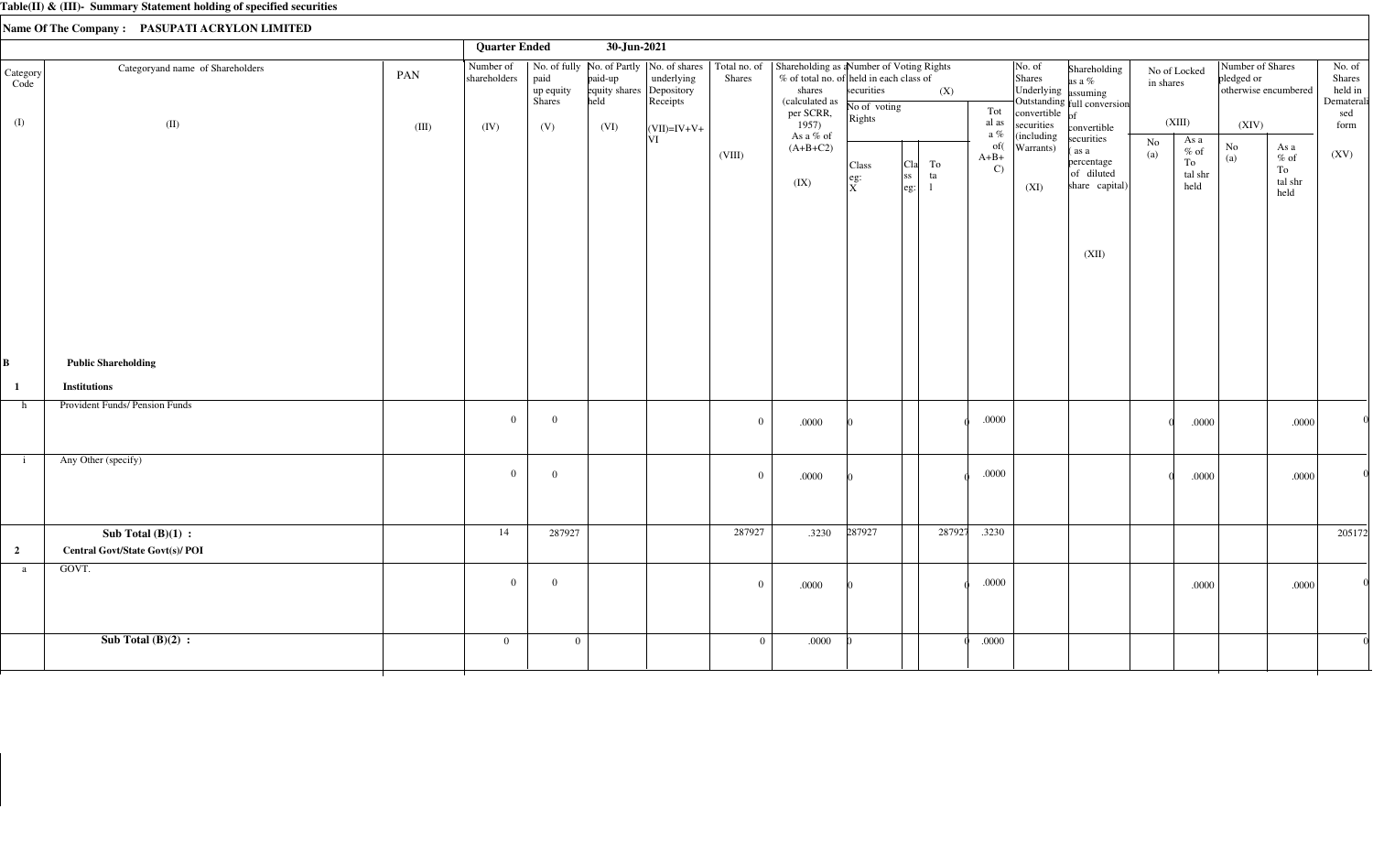|                         |                                                                |       | <b>Quarter Ended</b>      |                             | 30-Jun-2021                                 |                                                                                       |                |                                                                                                                               |                                                                       |                                                                               |                                                  |                                                                       |                                                                                           |                           |                                                  |                                        |                                          |                                                  |
|-------------------------|----------------------------------------------------------------|-------|---------------------------|-----------------------------|---------------------------------------------|---------------------------------------------------------------------------------------|----------------|-------------------------------------------------------------------------------------------------------------------------------|-----------------------------------------------------------------------|-------------------------------------------------------------------------------|--------------------------------------------------|-----------------------------------------------------------------------|-------------------------------------------------------------------------------------------|---------------------------|--------------------------------------------------|----------------------------------------|------------------------------------------|--------------------------------------------------|
| Category<br>Code        | Categoryand name of Shareholders                               | PAN   | Number of<br>shareholders | paid<br>up equity<br>Shares | paid-up<br>equity shares Depository<br>held | No. of fully   No. of Partly   No. of shares   Total no. of<br>underlying<br>Receipts | <b>Shares</b>  | Shareholding as a Number of Voting Rights<br>% of total no. of held in each class of<br>shares<br>(calculated as<br>per SCRR, | securities<br>No of voting<br>$\vert$ Rights                          | (X)                                                                           | Tot                                              | No. of<br>Shares<br>Underlying assuming<br>convertible $\int_{0}^{a}$ | Shareholding<br>as a %<br>Outstanding full conversion                                     | No of Locked<br>in shares |                                                  | Number of Shares<br>pledged or         | otherwise encumbered                     | No. of<br>Shares<br>held in<br>Dematerali<br>sed |
| (I)                     | (II)                                                           | (III) | (IV)                      | (V)                         | (VI)                                        | $ (VII)=IV+V+$<br> VI                                                                 | (VIII)         | 1957)<br>As a % of<br>$(A+B+C2)$<br>(IX)                                                                                      | Class<br>$\left  \begin{array}{c} \text{eg:} \ X \end{array} \right $ | To<br>  <sub>C1a</sub>  <br><sub>ss</sub><br>ta<br>$\left  \text{eg} \right $ | al as<br>a $\%$<br>of(<br>$A+B+$<br>$\mathbf{C}$ | securities<br>(including<br>Warrants)<br>(XI)                         | convertible<br>securities<br>(as a<br>percentage<br>of diluted<br>share capital)<br>(XII) | (XIII)<br>$\rm No$<br>(a) | As a<br>$\%$ of<br>${\rm To}$<br>tal shr<br>held | (XIV)<br>$\rm No$<br>$\left( a\right)$ | As a<br>$\%$ of<br>To<br>tal shr<br>held | form<br>(XV)                                     |
| B                       | <b>Public Shareholding</b>                                     |       |                           |                             |                                             |                                                                                       |                |                                                                                                                               |                                                                       |                                                                               |                                                  |                                                                       |                                                                                           |                           |                                                  |                                        |                                          |                                                  |
| $\mathbf{1}$            | <b>Institutions</b>                                            |       |                           |                             |                                             |                                                                                       |                |                                                                                                                               |                                                                       |                                                                               |                                                  |                                                                       |                                                                                           |                           |                                                  |                                        |                                          |                                                  |
| h                       | Provident Funds/ Pension Funds                                 |       | $\overline{0}$            | $\overline{0}$              |                                             |                                                                                       | $\overline{0}$ | .0000                                                                                                                         |                                                                       |                                                                               | $.0000$                                          |                                                                       |                                                                                           |                           | .0000                                            |                                        | .0000                                    |                                                  |
| $\mathbf{i}$            | Any Other (specify)                                            |       | $\overline{0}$            | $\overline{0}$              |                                             |                                                                                       | $\overline{0}$ | .0000                                                                                                                         |                                                                       |                                                                               | .0000                                            |                                                                       |                                                                                           |                           | .0000                                            |                                        | .0000                                    |                                                  |
| $\overline{\mathbf{2}}$ | Sub Total $(B)(1)$ :<br><b>Central Govt/State Govt(s)/ POI</b> |       | 14                        | 287927                      |                                             |                                                                                       | 287927         | .3230                                                                                                                         | 287927                                                                | 287927                                                                        | .3230                                            |                                                                       |                                                                                           |                           |                                                  |                                        |                                          | 205172                                           |
| a                       | GOVT.                                                          |       | $\overline{0}$            | $\overline{0}$              |                                             |                                                                                       | $\overline{0}$ | .0000                                                                                                                         |                                                                       |                                                                               | .0000                                            |                                                                       |                                                                                           |                           | .0000                                            |                                        | .0000                                    |                                                  |
|                         | Sub Total $(B)(2)$ :                                           |       | $\overline{0}$            | $\overline{0}$              |                                             |                                                                                       | $\overline{0}$ | .0000                                                                                                                         |                                                                       |                                                                               | .0000                                            |                                                                       |                                                                                           |                           |                                                  |                                        |                                          |                                                  |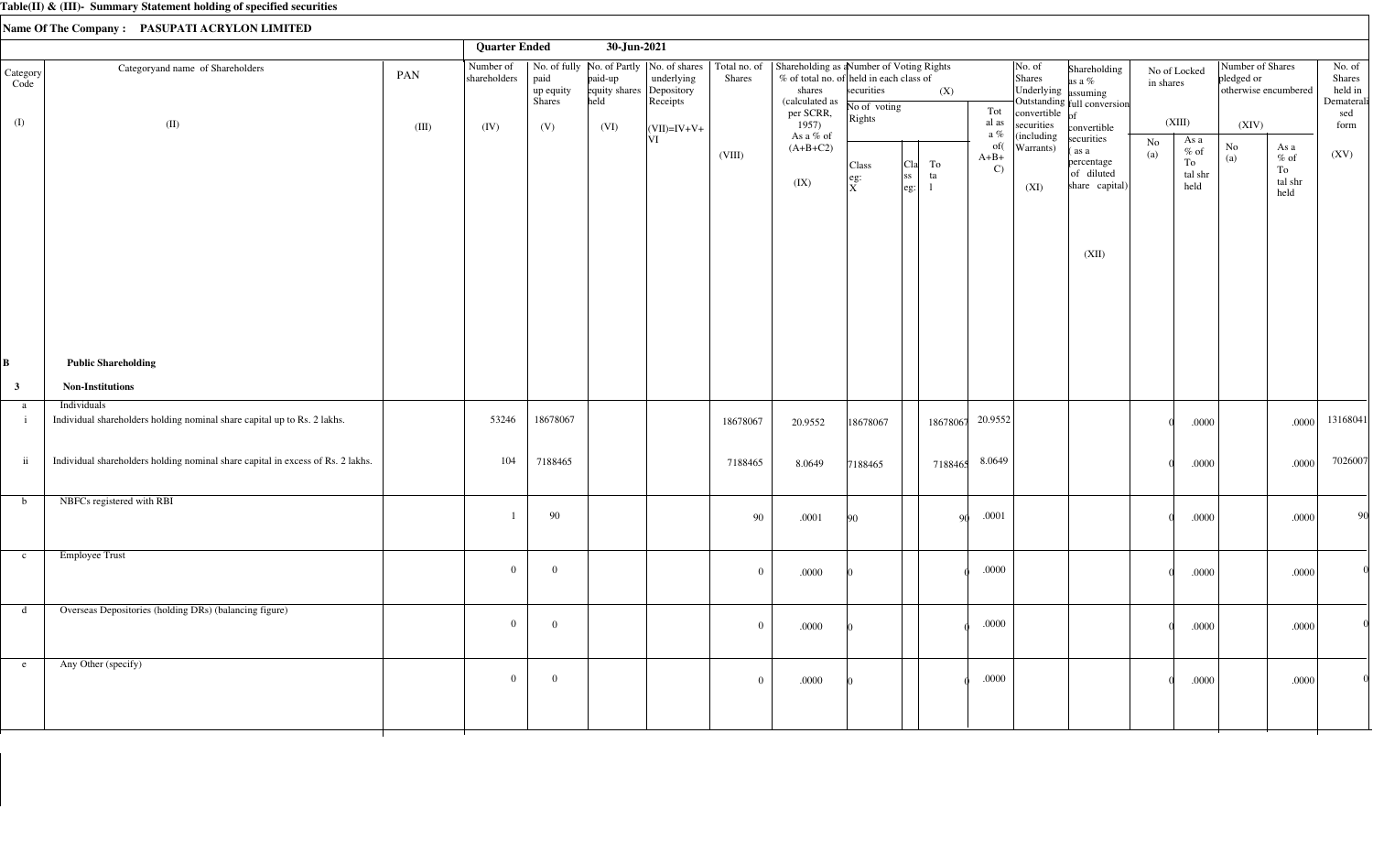|                         |                                                                                         |              | <b>Quarter Ended</b>              |                                    | 30-Jun-2021                              |                                                                                                        |                        |                                                                                                                                        |                                      |                                                        |          |                                            |                                 |                                                                                             |                           |                                          |                                         |                                                                       |                                                          |
|-------------------------|-----------------------------------------------------------------------------------------|--------------|-----------------------------------|------------------------------------|------------------------------------------|--------------------------------------------------------------------------------------------------------|------------------------|----------------------------------------------------------------------------------------------------------------------------------------|--------------------------------------|--------------------------------------------------------|----------|--------------------------------------------|---------------------------------|---------------------------------------------------------------------------------------------|---------------------------|------------------------------------------|-----------------------------------------|-----------------------------------------------------------------------|----------------------------------------------------------|
| Category<br>Code<br>(I) | Categoryand name of Shareholders<br>(II)                                                | PAN<br>(III) | Number of<br>shareholders<br>(IV) | paid<br>up equity<br>Shares<br>(V) | paid-up<br>equity shares<br>held<br>(VI) | No. of fully   No. of Partly   No. of shares<br>underlying<br>Depository<br>Receipts<br>$ (VII)=IV+V+$ | Total no. of<br>Shares | Shareholding as a Number of Voting Rights<br>% of total no. of held in each class of<br>shares<br>(calculated as<br>per SCRR,<br>1957) | securities<br>No of voting<br>Rights |                                                        | (X)      | No. of<br>Shares<br>Tot<br>al as<br>a $\%$ | convertible $of$<br>securities  | Shareholding<br>as a %<br>Underlying assuming<br>Outstanding full conversion<br>convertible | No of Locked<br>in shares | (XIII)                                   | Number of Shares<br>pledged or<br>(XIV) | otherwise encumbered                                                  | No. of<br>Shares<br>held in<br>Dematerali<br>sed<br>form |
|                         |                                                                                         |              |                                   |                                    |                                          | VI                                                                                                     | (VIII)                 | As a % of<br>$(A+B+C2)$<br>(IX)                                                                                                        | Class<br>$\left  \right.$ eg:<br>ΙxΞ | ${\rm To}$<br>Cla<br>ss <br>ta<br>$\left  \right.$ eg: |          | of(<br>$A+B+$<br>$\mathbf{C}$              | (including<br>Warrants)<br>(XI) | securities<br>(as a<br>percentage<br>of diluted<br>share capital)<br>(XII)                  | No<br>(a)                 | As a<br>$\%$ of<br>To<br>tal shr<br>held | $\rm No$<br>(a)                         | As a<br>$\%$ of<br>To<br>$\ensuremath{\text{tal}}\xspace$ shr<br>held | (XV)                                                     |
| В                       | <b>Public Shareholding</b>                                                              |              |                                   |                                    |                                          |                                                                                                        |                        |                                                                                                                                        |                                      |                                                        |          |                                            |                                 |                                                                                             |                           |                                          |                                         |                                                                       |                                                          |
| $\mathbf{3}$            | <b>Non-Institutions</b>                                                                 |              |                                   |                                    |                                          |                                                                                                        |                        |                                                                                                                                        |                                      |                                                        |          |                                            |                                 |                                                                                             |                           |                                          |                                         |                                                                       |                                                          |
| a<br>$\mathbf{i}$       | Individuals<br>Individual shareholders holding nominal share capital up to Rs. 2 lakhs. |              | 53246                             | 18678067                           |                                          |                                                                                                        | 18678067               | 20.9552                                                                                                                                | 18678067                             |                                                        | 18678067 | 20.9552                                    |                                 |                                                                                             |                           | .0000                                    |                                         | .0000                                                                 | 13168041                                                 |
| $\,$ ii                 | Individual shareholders holding nominal share capital in excess of Rs. 2 lakhs.         |              | 104                               | 7188465                            |                                          |                                                                                                        | 7188465                | 8.0649                                                                                                                                 | 7188465                              |                                                        | 7188465  | 8.0649                                     |                                 |                                                                                             |                           | .0000                                    |                                         | .0000                                                                 | 7026007                                                  |
| b                       | NBFCs registered with RBI                                                               |              |                                   | 90                                 |                                          |                                                                                                        | 90                     | .0001                                                                                                                                  | 90                                   |                                                        | -90      | .0001                                      |                                 |                                                                                             |                           | .0000                                    |                                         | .0000                                                                 | 90                                                       |
| $\mathbf{c}$            | <b>Employee Trust</b>                                                                   |              | $\overline{0}$                    | $\overline{0}$                     |                                          |                                                                                                        | $\overline{0}$         | .0000                                                                                                                                  |                                      |                                                        |          | .0000                                      |                                 |                                                                                             |                           | .0000                                    |                                         | .0000                                                                 |                                                          |
|                         | d Overseas Depositories (holding DRs) (balancing figure)                                |              | $\overline{0}$                    | $\mathbf{0}$                       |                                          |                                                                                                        | $\overline{0}$         | .0000                                                                                                                                  |                                      |                                                        |          | $.0000\,$                                  |                                 |                                                                                             |                           | .0000                                    |                                         | .0000                                                                 |                                                          |
| e                       | Any Other (specify)                                                                     |              | $\overline{0}$                    | $\mathbf{0}$                       |                                          |                                                                                                        | $\overline{0}$         | .0000                                                                                                                                  |                                      |                                                        |          | .0000                                      |                                 |                                                                                             |                           | .0000                                    |                                         | .0000                                                                 |                                                          |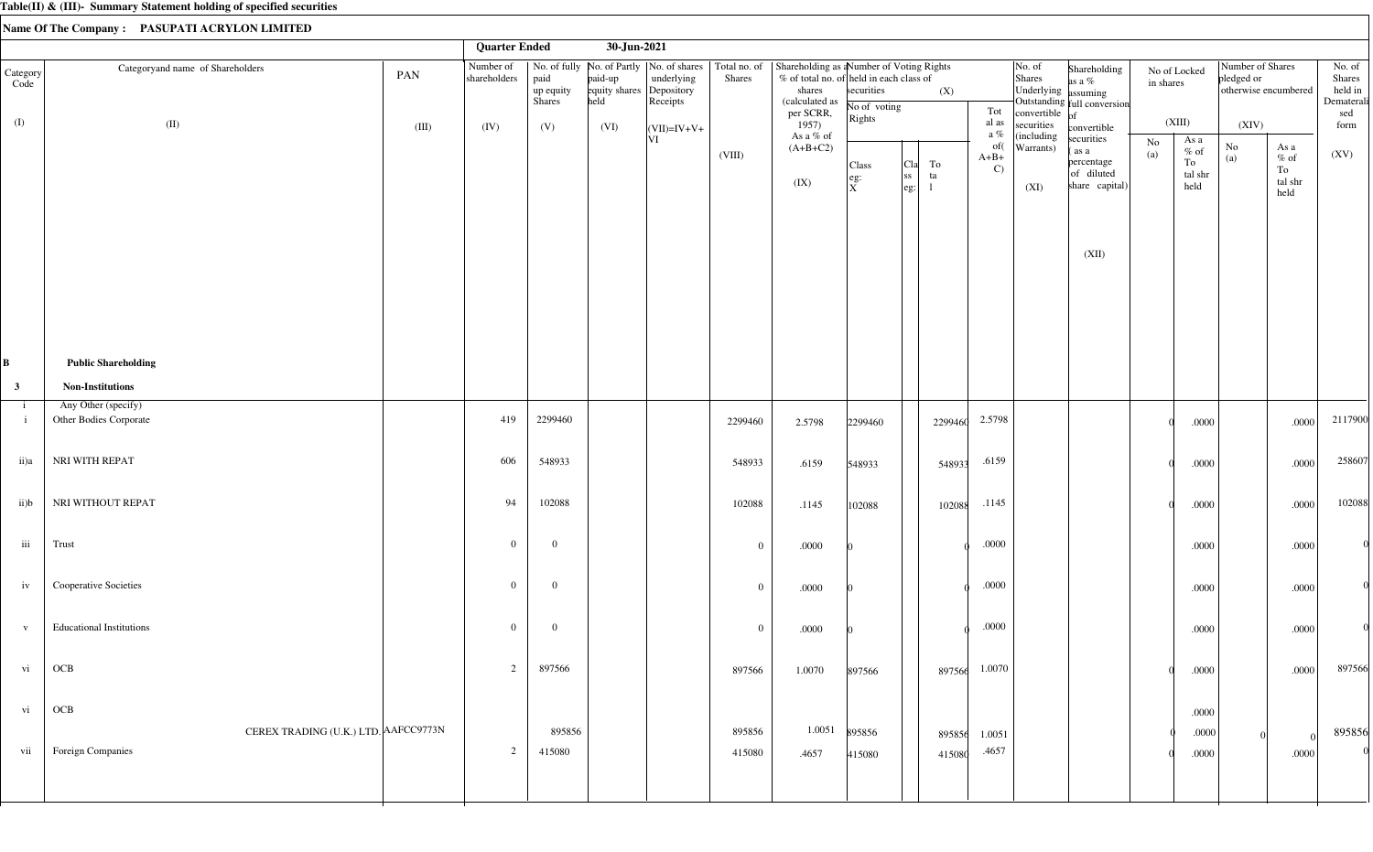|                              |                                                   |       | <b>Quarter Ended</b>      |                             | 30-Jun-2021                                 |                                                                        |                        |                                                                                                                               |                                      |                                         |                  |                               |                                                                        |                                                                   |                           |                                          |                                                        |                                                                       |                                                  |
|------------------------------|---------------------------------------------------|-------|---------------------------|-----------------------------|---------------------------------------------|------------------------------------------------------------------------|------------------------|-------------------------------------------------------------------------------------------------------------------------------|--------------------------------------|-----------------------------------------|------------------|-------------------------------|------------------------------------------------------------------------|-------------------------------------------------------------------|---------------------------|------------------------------------------|--------------------------------------------------------|-----------------------------------------------------------------------|--------------------------------------------------|
| Category<br>Code             | Categoryand name of Shareholders                  | PAN   | Number of<br>shareholders | paid<br>up equity<br>Shares | paid-up<br>equity shares Depository<br>held | No. of fully   No. of Partly   No. of shares<br>underlying<br>Receipts | Total no. of<br>Shares | Shareholding as a Number of Voting Rights<br>% of total no. of held in each class of<br>shares<br>(calculated as<br>per SCRR, | securities<br>No of voting           |                                         | (X)              | Tot                           | No. of<br>Shares<br>Underlying assuming<br>convertible $\overline{of}$ | Shareholding<br>as a $%$<br>Outstanding full conversion           | No of Locked<br>in shares |                                          | Number of Shares<br>pledged or<br>otherwise encumbered |                                                                       | No. of<br>Shares<br>held in<br>Dematerali<br>sed |
| (I)                          | (II)                                              | (III) | (IV)                      | (V)                         | (VI)                                        | $\vert$ (VII)=IV+V+                                                    |                        | 1957)<br>As a % of                                                                                                            | Rights                               |                                         |                  | al as<br>a $\%$               | securities<br>(including                                               | convertible                                                       |                           | (XIII)                                   | (XIV)                                                  |                                                                       | form                                             |
|                              |                                                   |       |                           |                             |                                             | VI                                                                     | (VIII)                 | $(A+B+C2)$<br>(IX)                                                                                                            | Class<br>$\left  \right.$ eg:<br>ΙxΞ | Cla<br>ss <br>$\left \text{eg:}\right $ | ${\rm To}$<br>ta | of(<br>$A+B+$<br>$\mathbf{C}$ | Warrants)<br>(XI)                                                      | securities<br>(as a<br>percentage<br>of diluted<br>share capital) | No<br>(a)                 | As a<br>$\%$ of<br>To<br>tal shr<br>held | $\rm No$<br>(a)                                        | As a<br>$\%$ of<br>To<br>$\ensuremath{\text{tal}}\xspace$ shr<br>held | (XV)                                             |
|                              |                                                   |       |                           |                             |                                             |                                                                        |                        |                                                                                                                               |                                      |                                         |                  |                               |                                                                        | (XII)                                                             |                           |                                          |                                                        |                                                                       |                                                  |
| B                            | <b>Public Shareholding</b>                        |       |                           |                             |                                             |                                                                        |                        |                                                                                                                               |                                      |                                         |                  |                               |                                                                        |                                                                   |                           |                                          |                                                        |                                                                       |                                                  |
| $\mathbf{3}$                 | <b>Non-Institutions</b>                           |       |                           |                             |                                             |                                                                        |                        |                                                                                                                               |                                      |                                         |                  |                               |                                                                        |                                                                   |                           |                                          |                                                        |                                                                       |                                                  |
| $\mathbf{1}$<br>$\mathbf{i}$ | Any Other (specify)<br>Other Bodies Corporate     |       | 419                       | 2299460                     |                                             |                                                                        | 2299460                | 2.5798                                                                                                                        | 2299460                              |                                         | 2299460          | 2.5798                        |                                                                        |                                                                   |                           | .0000                                    |                                                        | .0000                                                                 | 2117900                                          |
| ii)a                         | NRI WITH REPAT                                    |       | 606                       | 548933                      |                                             |                                                                        | 548933                 | .6159                                                                                                                         | 548933                               |                                         | 548933           | .6159                         |                                                                        |                                                                   |                           | .0000                                    |                                                        | .0000                                                                 | 258607                                           |
| ii)b                         | NRI WITHOUT REPAT                                 |       | 94                        | 102088                      |                                             |                                                                        | 102088                 | .1145                                                                                                                         | 102088                               |                                         | 102088           | .1145                         |                                                                        |                                                                   |                           | .0000                                    |                                                        | .0000                                                                 | 102088                                           |
| $\rm iii$                    | Trust                                             |       | $\overline{0}$            | $\overline{0}$              |                                             |                                                                        | $\overline{0}$         | .0000                                                                                                                         |                                      |                                         |                  | $.0000\,$                     |                                                                        |                                                                   |                           | .0000                                    |                                                        | .0000                                                                 |                                                  |
| iv                           | Cooperative Societies                             |       | $\overline{0}$            | $\mathbf{0}$                |                                             |                                                                        | $\bf{0}$               | .0000                                                                                                                         |                                      |                                         |                  | $.0000\,$                     |                                                                        |                                                                   |                           | .0000                                    |                                                        | .0000                                                                 |                                                  |
| $\mathbf{V}$                 | <b>Educational Institutions</b>                   |       | $\overline{0}$            | $\overline{0}$              |                                             |                                                                        | $\overline{0}$         | .0000                                                                                                                         |                                      |                                         |                  | .0000                         |                                                                        |                                                                   |                           | .0000                                    |                                                        | .0000                                                                 | 0                                                |
| vi                           | OCB                                               |       | 2                         | 897566                      |                                             |                                                                        | 897566                 | 1.0070                                                                                                                        | 897566                               |                                         | 897566           | 1.0070                        |                                                                        |                                                                   |                           | .0000                                    |                                                        | .0000                                                                 | 897566                                           |
| $_{\rm{vi}}$                 | $\rm OCB$<br>CEREX TRADING (U.K.) LTD. AAFCC9773N |       |                           | 895856                      |                                             |                                                                        | 895856                 | 1.0051                                                                                                                        | 895856                               |                                         | 895856           | 1.0051                        |                                                                        |                                                                   |                           | .0000<br>.0000                           |                                                        |                                                                       | 895856                                           |
| vii                          | Foreign Companies                                 |       | $\overline{2}$            | 415080                      |                                             |                                                                        | 415080                 | .4657                                                                                                                         | 415080                               |                                         | 415080           | .4657                         |                                                                        |                                                                   |                           | .0000                                    |                                                        | - 0<br>.0000                                                          |                                                  |
|                              |                                                   |       |                           |                             |                                             |                                                                        |                        |                                                                                                                               |                                      |                                         |                  |                               |                                                                        |                                                                   |                           |                                          |                                                        |                                                                       |                                                  |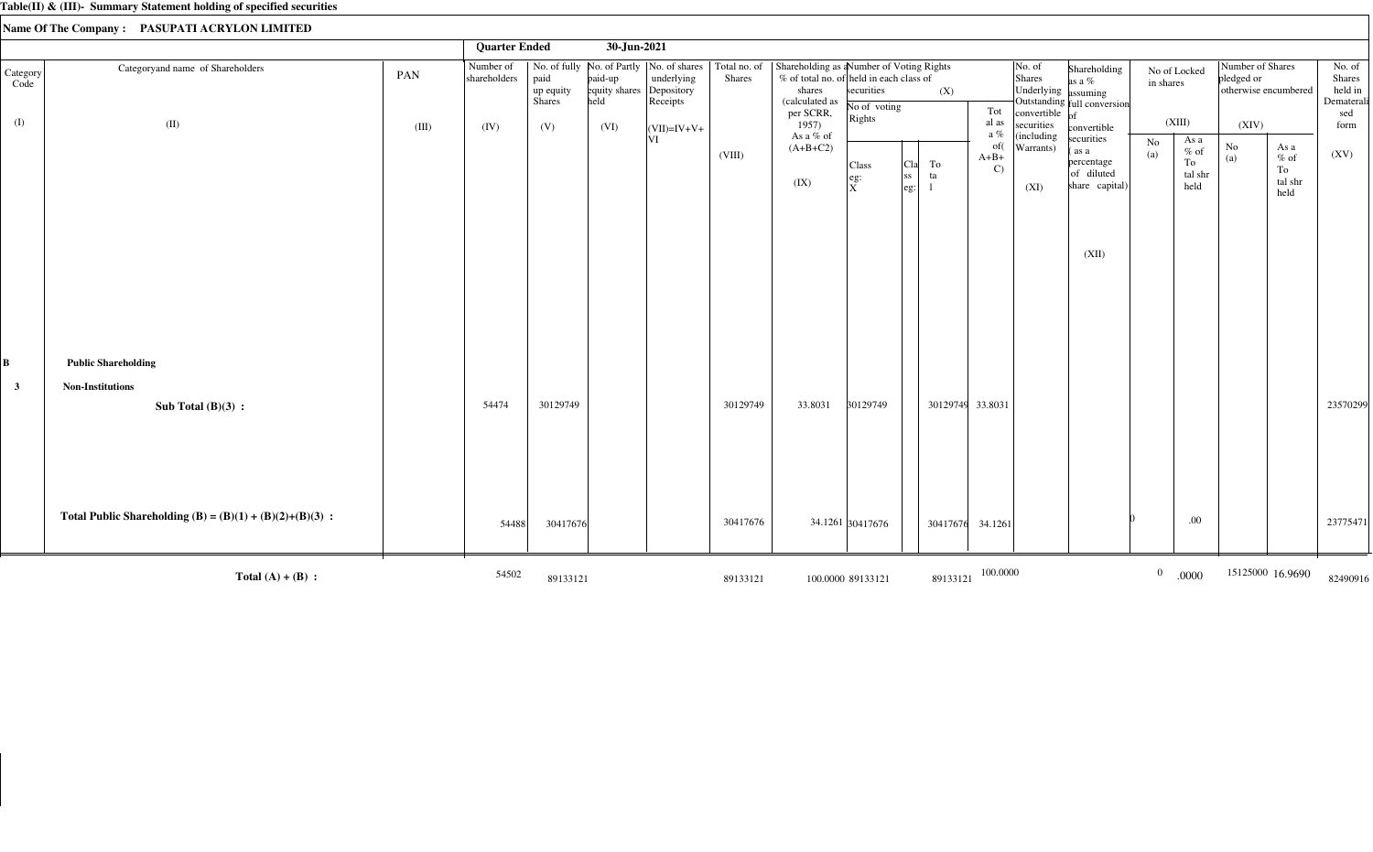|                  |                                                            |       | <b>Quarter Ended</b>      |                             | 30-Jun-2021              |                                                                                      |                        |                                                                                                                  |                                 |                                                                   |                               |                                         |                                                                  |                |                                         |                                                        |                                         |                                           |
|------------------|------------------------------------------------------------|-------|---------------------------|-----------------------------|--------------------------|--------------------------------------------------------------------------------------|------------------------|------------------------------------------------------------------------------------------------------------------|---------------------------------|-------------------------------------------------------------------|-------------------------------|-----------------------------------------|------------------------------------------------------------------|----------------|-----------------------------------------|--------------------------------------------------------|-----------------------------------------|-------------------------------------------|
| Category<br>Code | Categoryand name of Shareholders                           | PAN   | Number of<br>shareholders | paid<br>up equity<br>Shares | paid-up<br>equity shares | No. of fully   No. of Partly   No. of shares<br>underlying<br>Depository<br>Receipts | Total no. of<br>Shares | Shareholding as a Number of Voting Rights<br>% of total no. of held in each class of<br>shares<br>(calculated as | securities<br>No of voting      | (X)                                                               |                               | No. of<br>Shares<br>Underlying assuming | Shareholding<br>as a $%$<br>Outstanding full conversion          | in shares      | No of Locked                            | Number of Shares<br>pledged or<br>otherwise encumbered |                                         | No. of<br>Shares<br>held in<br>Dematerali |
| (I)              | (II)                                                       | (III) | (IV)                      | (V)                         | (VI)                     | $(VII)=IV+V+$                                                                        |                        | per SCRR,<br>1957)<br>As a % of                                                                                  | Rights                          |                                                                   | Tot<br>al as<br>a %           | convertible<br>securities<br>(including | convertible                                                      |                | (XIII)                                  | (XIV)                                                  |                                         | sed<br>form                               |
|                  |                                                            |       |                           |                             |                          | VI                                                                                   | (VIII)                 | $(A+B+C2)$<br>(IX)                                                                                               | Class<br> eg:<br>$\overline{X}$ | To<br>  <sub>C1a</sub>  <br> ss<br>ta<br>$\left \text{eg}\right $ | of(<br>$A+B+$<br>$\mathbf{C}$ | Warrants)<br>(XI)                       | securities<br>as a<br>percentage<br>of diluted<br>share capital) | No<br>(a)      | As a<br>$%$ of<br>To<br>tal shr<br>held | No<br>(a)                                              | As a<br>$%$ of<br>To<br>tal shr<br>held | (XV)                                      |
|                  |                                                            |       |                           |                             |                          |                                                                                      |                        |                                                                                                                  |                                 |                                                                   |                               |                                         | (XII)                                                            |                |                                         |                                                        |                                         |                                           |
| $\bf{B}$         | <b>Public Shareholding</b>                                 |       |                           |                             |                          |                                                                                      |                        |                                                                                                                  |                                 |                                                                   |                               |                                         |                                                                  |                |                                         |                                                        |                                         |                                           |
| $\mathbf{3}$     | <b>Non-Institutions</b><br>Sub Total $(B)(3)$ :            |       | 54474                     | 30129749                    |                          |                                                                                      | 30129749               | 33.8031                                                                                                          | 30129749                        | 30129749 33.8031                                                  |                               |                                         |                                                                  |                |                                         |                                                        |                                         | 23570299                                  |
|                  | Total Public Shareholding (B) = $(B)(1) + (B)(2)+(B)(3)$ : |       | 54488                     | 30417676                    |                          |                                                                                      | 30417676               |                                                                                                                  | 34.1261 30417676                | 30417676                                                          | 34.1261                       |                                         |                                                                  |                | .00                                     |                                                        |                                         | 23775471                                  |
|                  | Total $(A) + (B)$ :                                        |       | 54502                     | 89133121                    |                          |                                                                                      | 89133121               |                                                                                                                  | 100.0000 89133121               | 89133121                                                          | 100.0000                      |                                         |                                                                  | $\overline{0}$ | .0000                                   |                                                        | 15125000 16.9690                        | 82490916                                  |